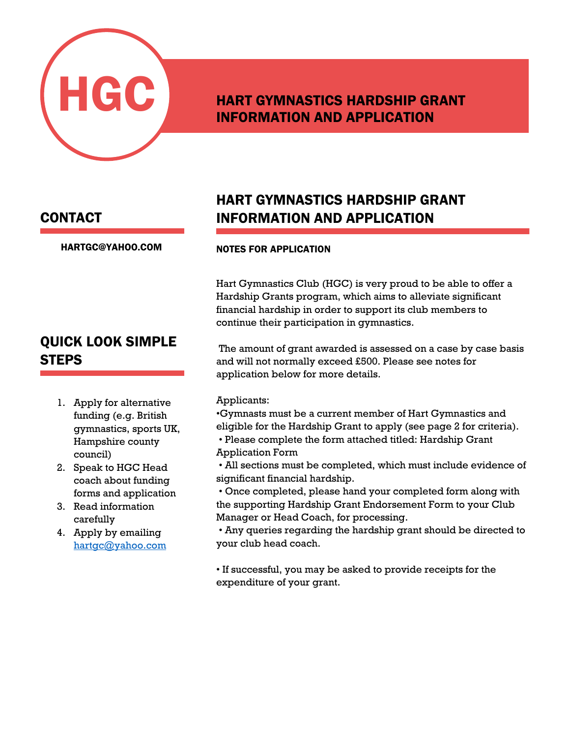

### HART GYMNASTICS HARDSHIP GRANT INFORMATION AND APPLICATION

#### CONTACT

[HARTGC@YAHOO.COM](mailto:hartgc@yahoo.com)

### QUICK LOOK SIMPLE **STEPS**

- 1. Apply for alternative funding (e.g. British gymnastics, sports UK, Hampshire county council)
- 2. Speak to HGC Head coach about funding forms and application
- 3. Read information carefully
- 4. Apply by emailing [hartgc@yahoo.com](mailto:hartgc@yahoo.com)

### HART GYMNASTICS HARDSHIP GRANT INFORMATION AND APPLICATION

#### NOTES FOR APPLICATION

Hart Gymnastics Club (HGC) is very proud to be able to offer a Hardship Grants program, which aims to alleviate significant financial hardship in order to support its club members to continue their participation in gymnastics.

The amount of grant awarded is assessed on a case by case basis and will not normally exceed £500. Please see notes for application below for more details.

#### Applicants:

•Gymnasts must be a current member of Hart Gymnastics and eligible for the Hardship Grant to apply (see page 2 for criteria).

- Please complete the form attached titled: Hardship Grant Application Form
- All sections must be completed, which must include evidence of significant financial hardship.
- Once completed, please hand your completed form along with the supporting Hardship Grant Endorsement Form to your Club Manager or Head Coach, for processing.
- Any queries regarding the hardship grant should be directed to your club head coach.

• If successful, you may be asked to provide receipts for the expenditure of your grant.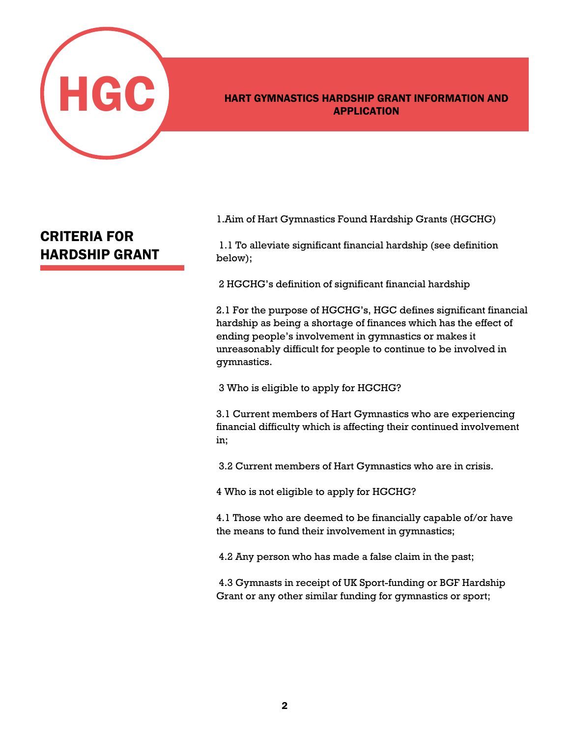

### APPLICATION

### CRITERIA FOR HARDSHIP GRANT

1. Aim of Hart Gymnastics Found Hardship Grants (HGCHG) INFORMATION AND APPLICATION

below); 1.1 To alleviate significant financial hardship (see definition

2 HGCHG's definition of significant financial hardship

2.1 For the purpose of HGCHG's, HGC defines significant financial hardship as being a shortage of finances which has the effect of ending people's involvement in gymnastics or makes it The amount of grant awarded is assessed on a case by case unreasonably difficult for people to continue to be involved in  $\mathbf y$  indication. gymnastics.

application below for more details. 3 Who is eligible to apply for HGCHG?

3.1 Current members of Hart Gymnastics who are experiencing financial difficulty which is affecting their continued involvement in;

3.2 Current members of Hart Gymnastics who are in crisis.  $\mathcal{A}=\mathcal{A}$  and  $\mathcal{A}=\mathcal{A}$  and  $\mathcal{A}=\mathcal{A}$  and  $\mathcal{A}=\mathcal{A}$  and  $\mathcal{A}=\mathcal{A}$  and  $\mathcal{A}=\mathcal{A}$  and  $\mathcal{A}=\mathcal{A}$ 

4 Who is not eligible to apply for HGCHG?  $\mathbf{P}$ 

4.1 Those who are deemed to be financially capable of/or have 1.1 Those who are decided to be mandany capable the means to fund their involvement in gymnastics;

directed to your club head coach. 4.2 Any person who has made a false claim in the past;

4.3 Gymnasts in receipt of UK Sport-funding or BGF Hardship Grant or any other similar funding for gymnastics or sport;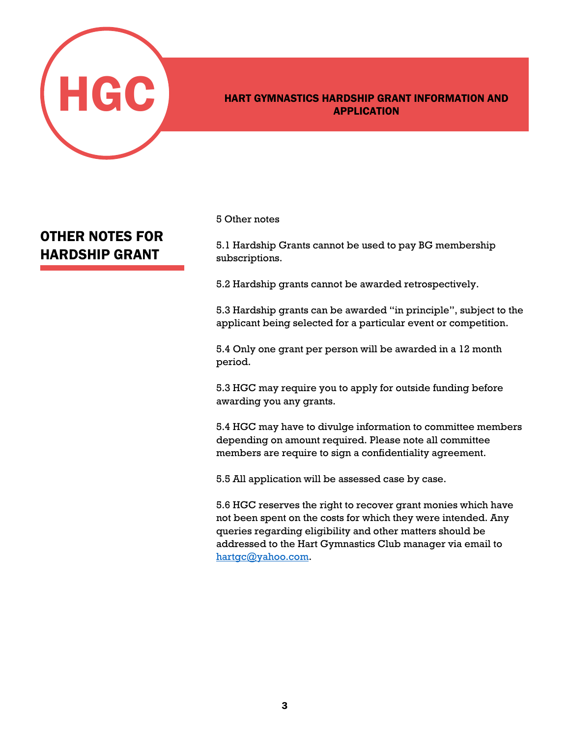

## HART GYMNASTICS HARDSHIP GRANT INFORMATION AND APPLICATION

### OTHER NOTES FOR HARDSHIP GRANT

### $5$  Other notes  $\overline{\phantom{a}}$

subscriptions. 5.1 Hardship Grants cannot be used to pay BG membership

5.2 Hardship grants cannot be awarded retrospectively.

5.3 Hardship grants can be awarded "in principle", subject to the applicant being selected for a particular event or competition. continue the participation in gymnastics.

5.4 Only one grant per person will be awarded in a 12 month<br>restied  $\mathbf{p}_{\text{error}}$ period.

application below for more details. awarding you any grants. 5.3 HGC may require you to apply for outside funding before

5.4 HGC may have to divulge information to committee members depending on amount required. Please note all committee members are require to sign a confidentiality agreement.

5.5 All application will be assessed case by case. evidence of significant financial hardship.

5.6 HGC reserves the right to recover grant monies which have ardship Crassives the Hardship Gracever grain include which have not been spent on the costs for which they were intended. Any not been spent on the costs for which they were me queries regarding eligibility and other matters should be  $\tilde{q}$ addressed to the Hart Gymnastics Club manager via email to [hartgc@yahoo.com.](mailto:hartgc@yahoo.com)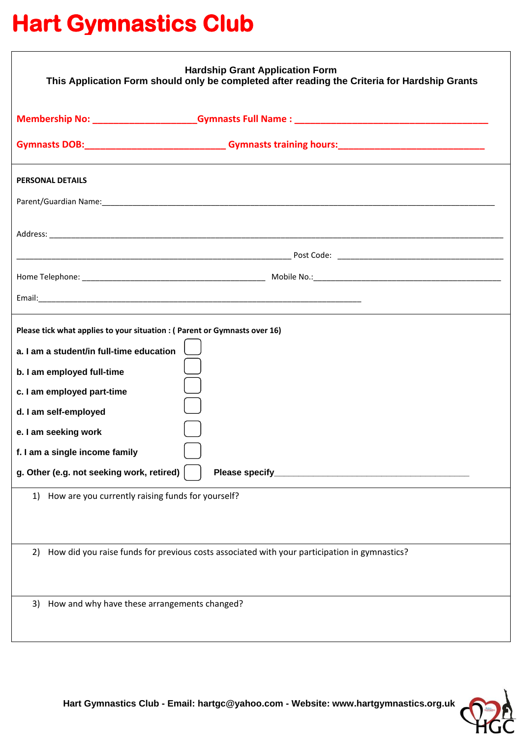## **Hart Gymnastics Club**

| <b>Hardship Grant Application Form</b><br>This Application Form should only be completed after reading the Criteria for Hardship Grants                                                                                                                                                                                                                                                      |
|----------------------------------------------------------------------------------------------------------------------------------------------------------------------------------------------------------------------------------------------------------------------------------------------------------------------------------------------------------------------------------------------|
|                                                                                                                                                                                                                                                                                                                                                                                              |
|                                                                                                                                                                                                                                                                                                                                                                                              |
| <b>PERSONAL DETAILS</b>                                                                                                                                                                                                                                                                                                                                                                      |
|                                                                                                                                                                                                                                                                                                                                                                                              |
|                                                                                                                                                                                                                                                                                                                                                                                              |
|                                                                                                                                                                                                                                                                                                                                                                                              |
|                                                                                                                                                                                                                                                                                                                                                                                              |
|                                                                                                                                                                                                                                                                                                                                                                                              |
| Please tick what applies to your situation : (Parent or Gymnasts over 16)<br>a. I am a student/in full-time education<br>b. I am employed full-time<br>c. I am employed part-time<br>d. I am self-employed<br>e. I am seeking work<br>f. I am a single income family<br>g. Other (e.g. not seeking work, retired)<br>Please specify_<br>1) How are you currently raising funds for yourself? |
| How did you raise funds for previous costs associated with your participation in gymnastics?<br>2)                                                                                                                                                                                                                                                                                           |
| How and why have these arrangements changed?<br>3).                                                                                                                                                                                                                                                                                                                                          |

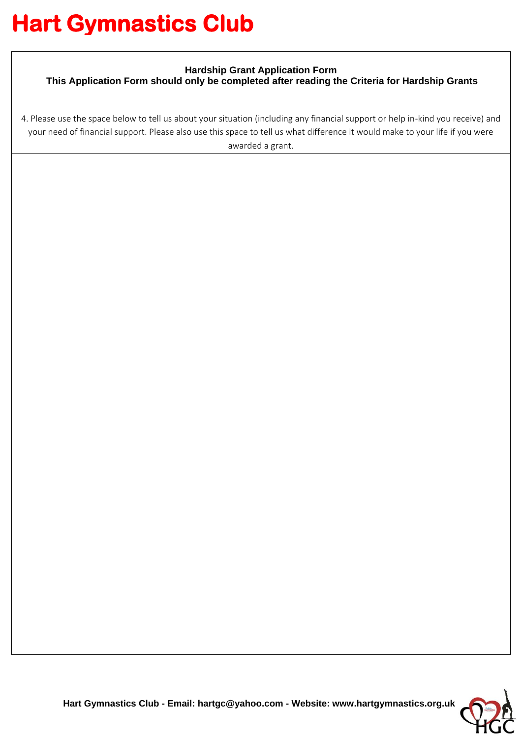# **Hart Gymnastics Club**

#### **Hardship Grant Application Form**

**This Application Form should only be completed after reading the Criteria for Hardship Grants**

4. Please use the space below to tell us about your situation (including any financial support or help in-kind you receive) and your need of financial support. Please also use this space to tell us what difference it would make to your life if you were awarded a grant.